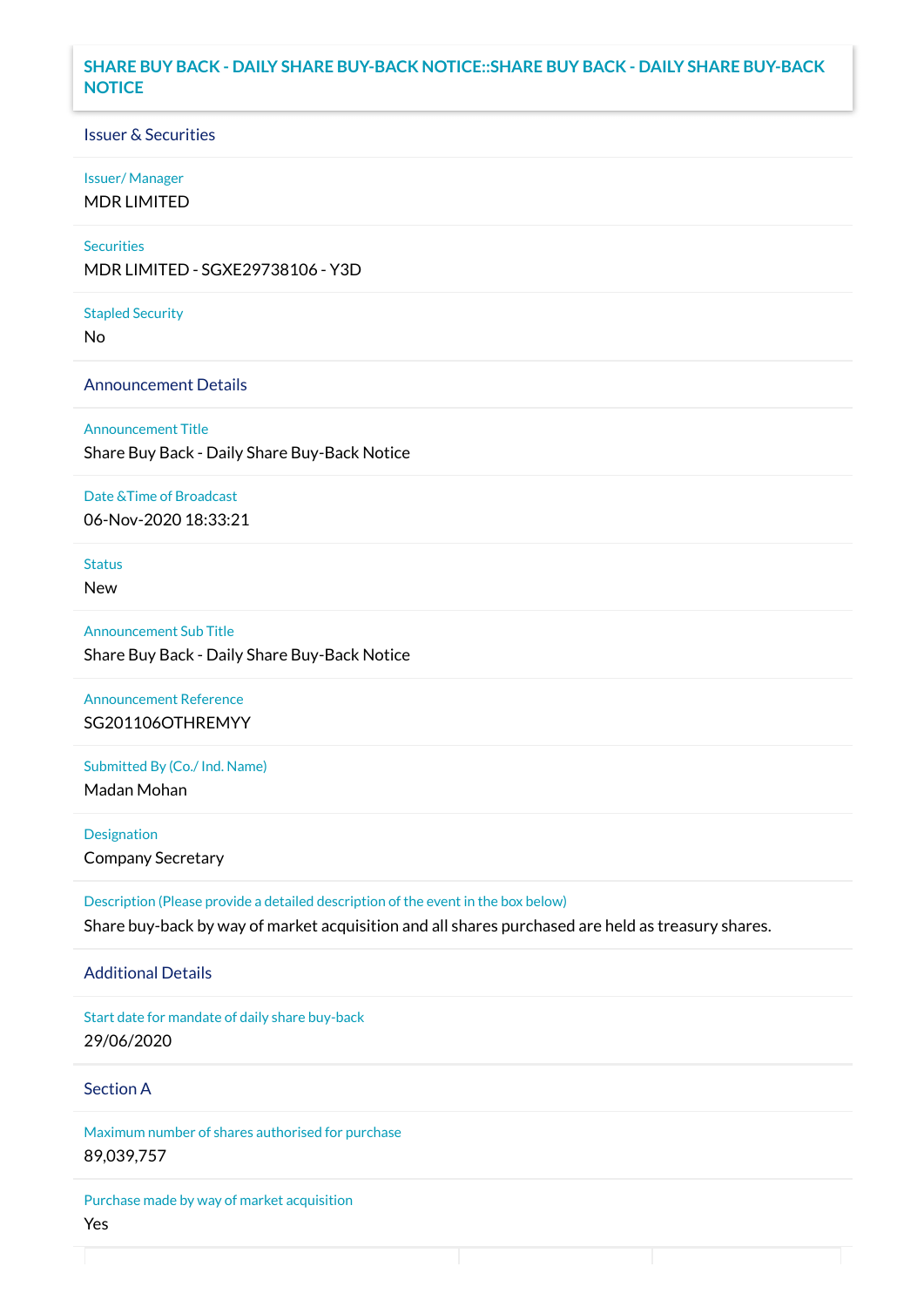### **SHARE BUY BACK - DAILY SHARE BUY-BACK NOTICE::SHARE BUY BACK - DAILY SHARE BUY-BACK NOTICE**

### Issuer & Securities

#### Issuer/ Manager

MDR LIMITED

# **Securities**

MDR LIMITED - SGXE29738106 - Y3D

#### Stapled Security

No

#### Announcement Details

Announcement Title Share Buy Back - Daily Share Buy-Back Notice

#### Date &Time of Broadcast

06-Nov-2020 18:33:21

# Status

New

Announcement Sub Title Share Buy Back - Daily Share Buy-Back Notice

# Announcement Reference SG201106OTHREMYY

Submitted By (Co./ Ind. Name)

Madan Mohan

**Designation** Company Secretary

Description (Please provide a detailed description of the event in the box below) Share buy-back by way of market acquisition and all shares purchased are held as treasury shares.

#### Additional Details

Start date for mandate of daily share buy-back 29/06/2020

### Section A

Maximum number of shares authorised for purchase 89,039,757

Purchase made by way of market acquisition Yes